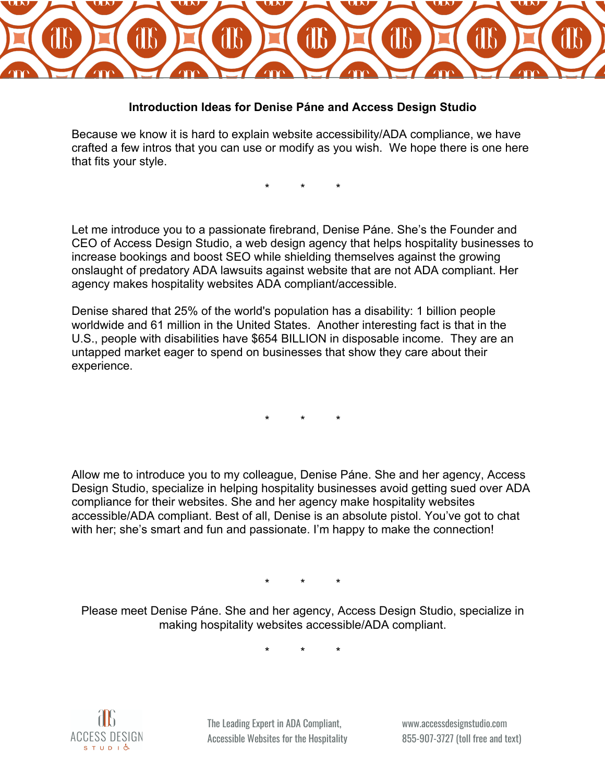

## **Introduction Ideas for Denise Páne and Access Design Studio**

Because we know it is hard to explain website accessibility/ADA compliance, we have crafted a few intros that you can use or modify as you wish. We hope there is one here that fits your style.

\* \* \*

Let me introduce you to a passionate firebrand, Denise Páne. She's the Founder and CEO of Access Design Studio, a web design agency that helps hospitality businesses to increase bookings and boost SEO while shielding themselves against the growing onslaught of predatory ADA lawsuits against website that are not ADA compliant. Her agency makes hospitality websites ADA compliant/accessible.

Denise shared that 25% of the world's population has a disability: 1 billion people worldwide and 61 million in the United States. Another interesting fact is that in the U.S., people with disabilities have \$654 BILLION in disposable income. They are an untapped market eager to spend on businesses that show they care about their experience.

\* \* \*

Allow me to introduce you to my colleague, Denise Páne. She and her agency, Access Design Studio, specialize in helping hospitality businesses avoid getting sued over ADA compliance for their websites. She and her agency make hospitality websites accessible/ADA compliant. Best of all, Denise is an absolute pistol. You've got to chat with her; she's smart and fun and passionate. I'm happy to make the connection!

\* \* \*

Please meet Denise Páne. She and her agency, Access Design Studio, specialize in making hospitality websites accessible/ADA compliant.

\* \* \*



The Leading Expert in ADA Compliant, Accessible Websites for the Hospitality